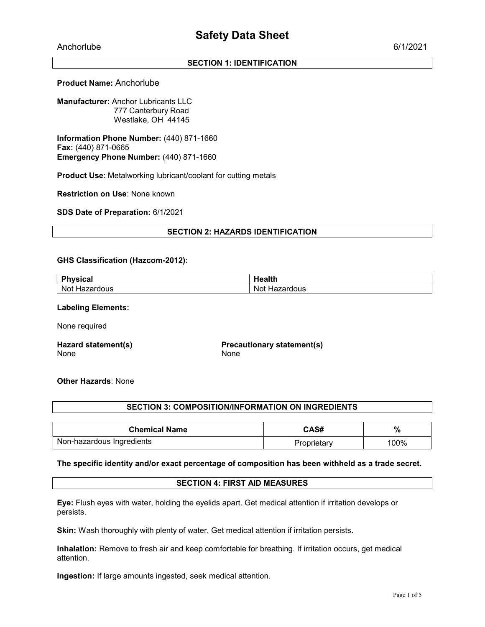Anchorlube 6/1/2021

# SECTION 1: IDENTIFICATION

# Product Name: Anchorlube

Manufacturer: Anchor Lubricants LLC 777 Canterbury Road Westlake, OH 44145

Information Phone Number: (440) 871-1660 Fax: (440) 871-0665 Emergency Phone Number: (440) 871-1660

Product Use: Metalworking lubricant/coolant for cutting metals

Restriction on Use: None known

SDS Date of Preparation: 6/1/2021

#### SECTION 2: HAZARDS IDENTIFICATION

#### GHS Classification (Hazcom-2012):

| <b>DL</b><br>∣vsical<br>. . | JA L<br> |
|-----------------------------|----------|
| Not                         | - -- -   |
| ----                        | Not.     |
| Ha∠                         | aruous′  |
| raroous                     | пa.      |

#### Labeling Elements:

None required

Hazard statement(s) None

Precautionary statement(s) None

## Other Hazards: None

#### SECTION 3: COMPOSITION/INFORMATION ON INGREDIENTS

| <b>Chemical Name</b>      | CAS#        | %    |
|---------------------------|-------------|------|
| Non-hazardous Ingredients | 'roprietary | 100% |

#### The specific identity and/or exact percentage of composition has been withheld as a trade secret.

## SECTION 4: FIRST AID MEASURES

Eye: Flush eyes with water, holding the eyelids apart. Get medical attention if irritation develops or persists.

Skin: Wash thoroughly with plenty of water. Get medical attention if irritation persists.

Inhalation: Remove to fresh air and keep comfortable for breathing. If irritation occurs, get medical attention.

Ingestion: If large amounts ingested, seek medical attention.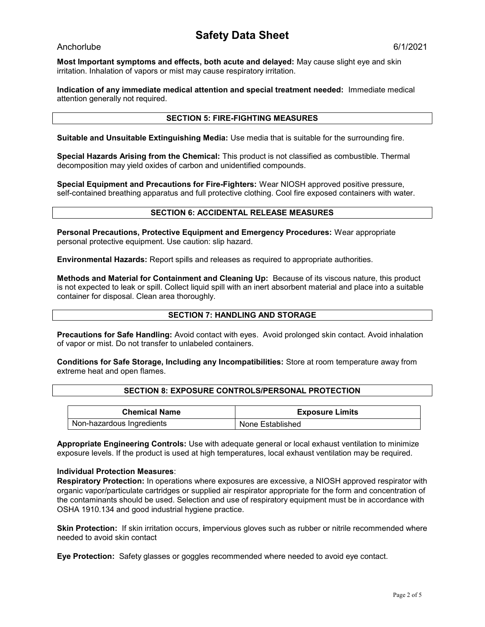# Safety Data Sheet

# Anchorlube 6/1/2021

Most Important symptoms and effects, both acute and delayed: May cause slight eye and skin irritation. Inhalation of vapors or mist may cause respiratory irritation.

Indication of any immediate medical attention and special treatment needed: Immediate medical attention generally not required.

# SECTION 5: FIRE-FIGHTING MEASURES

Suitable and Unsuitable Extinguishing Media: Use media that is suitable for the surrounding fire.

Special Hazards Arising from the Chemical: This product is not classified as combustible. Thermal decomposition may yield oxides of carbon and unidentified compounds.

Special Equipment and Precautions for Fire-Fighters: Wear NIOSH approved positive pressure, self-contained breathing apparatus and full protective clothing. Cool fire exposed containers with water.

#### SECTION 6: ACCIDENTAL RELEASE MEASURES

Personal Precautions, Protective Equipment and Emergency Procedures: Wear appropriate personal protective equipment. Use caution: slip hazard.

Environmental Hazards: Report spills and releases as required to appropriate authorities.

Methods and Material for Containment and Cleaning Up: Because of its viscous nature, this product is not expected to leak or spill. Collect liquid spill with an inert absorbent material and place into a suitable container for disposal. Clean area thoroughly.

# SECTION 7: HANDLING AND STORAGE

Precautions for Safe Handling: Avoid contact with eyes. Avoid prolonged skin contact. Avoid inhalation of vapor or mist. Do not transfer to unlabeled containers.

Conditions for Safe Storage, Including any Incompatibilities: Store at room temperature away from extreme heat and open flames.

#### SECTION 8: EXPOSURE CONTROLS/PERSONAL PROTECTION

| <b>Chemical Name</b>      | <b>Exposure Limits</b> |
|---------------------------|------------------------|
| Non-hazardous Ingredients | None Established       |

Appropriate Engineering Controls: Use with adequate general or local exhaust ventilation to minimize exposure levels. If the product is used at high temperatures, local exhaust ventilation may be required.

#### Individual Protection Measures:

Respiratory Protection: In operations where exposures are excessive, a NIOSH approved respirator with organic vapor/particulate cartridges or supplied air respirator appropriate for the form and concentration of the contaminants should be used. Selection and use of respiratory equipment must be in accordance with OSHA 1910.134 and good industrial hygiene practice.

**Skin Protection:** If skin irritation occurs, impervious gloves such as rubber or nitrile recommended where needed to avoid skin contact

Eye Protection: Safety glasses or goggles recommended where needed to avoid eye contact.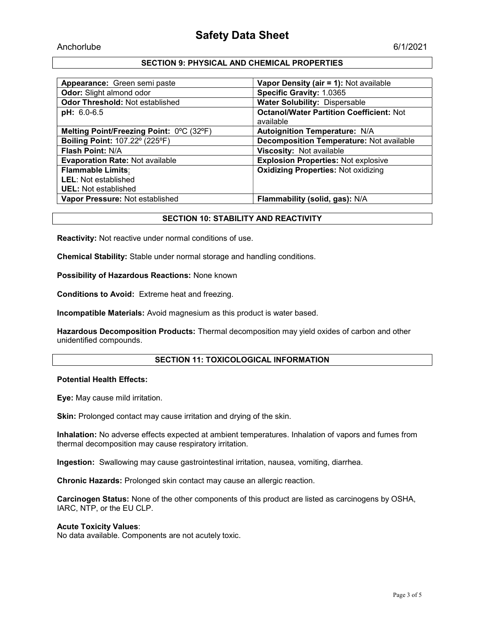# SECTION 9: PHYSICAL AND CHEMICAL PROPERTIES

| Appearance: Green semi paste             | Vapor Density (air = 1): Not available                       |
|------------------------------------------|--------------------------------------------------------------|
| Odor: Slight almond odor                 | Specific Gravity: 1.0365                                     |
| Odor Threshold: Not established          | <b>Water Solubility: Dispersable</b>                         |
| $pH: 6.0-6.5$                            | <b>Octanol/Water Partition Coefficient: Not</b><br>available |
| Melting Point/Freezing Point: 0°C (32°F) | <b>Autoignition Temperature: N/A</b>                         |
| Boiling Point: 107.22° (225°F)           | <b>Decomposition Temperature: Not available</b>              |
| <b>Flash Point: N/A</b>                  | Viscosity: Not available                                     |
| <b>Evaporation Rate: Not available</b>   | <b>Explosion Properties: Not explosive</b>                   |
| <b>Flammable Limits:</b>                 | <b>Oxidizing Properties: Not oxidizing</b>                   |
| LEL: Not established                     |                                                              |
| <b>UEL:</b> Not established              |                                                              |
| Vapor Pressure: Not established          | Flammability (solid, gas): N/A                               |

# SECTION 10: STABILITY AND REACTIVITY

Reactivity: Not reactive under normal conditions of use.

Chemical Stability: Stable under normal storage and handling conditions.

Possibility of Hazardous Reactions: None known

Conditions to Avoid: Extreme heat and freezing.

Incompatible Materials: Avoid magnesium as this product is water based.

Hazardous Decomposition Products: Thermal decomposition may yield oxides of carbon and other unidentified compounds.

#### SECTION 11: TOXICOLOGICAL INFORMATION

## Potential Health Effects:

Eye: May cause mild irritation.

Skin: Prolonged contact may cause irritation and drying of the skin.

Inhalation: No adverse effects expected at ambient temperatures. Inhalation of vapors and fumes from thermal decomposition may cause respiratory irritation.

Ingestion: Swallowing may cause gastrointestinal irritation, nausea, vomiting, diarrhea.

Chronic Hazards: Prolonged skin contact may cause an allergic reaction.

Carcinogen Status: None of the other components of this product are listed as carcinogens by OSHA, IARC, NTP, or the EU CLP.

#### Acute Toxicity Values:

No data available. Components are not acutely toxic.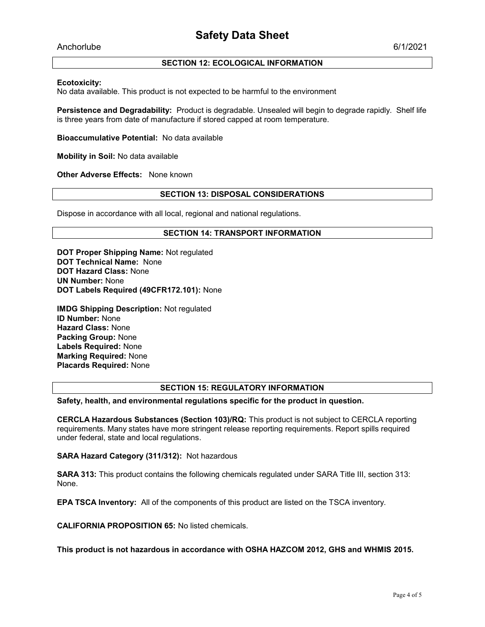Anchorlube 6/1/2021

# SECTION 12: ECOLOGICAL INFORMATION

## Ecotoxicity:

No data available. This product is not expected to be harmful to the environment

Persistence and Degradability: Product is degradable. Unsealed will begin to degrade rapidly. Shelf life is three years from date of manufacture if stored capped at room temperature.

Bioaccumulative Potential: No data available

Mobility in Soil: No data available

Other Adverse Effects: None known

# SECTION 13: DISPOSAL CONSIDERATIONS

Dispose in accordance with all local, regional and national regulations.

## SECTION 14: TRANSPORT INFORMATION

DOT Proper Shipping Name: Not regulated DOT Technical Name: None DOT Hazard Class: None UN Number: None DOT Labels Required (49CFR172.101): None

IMDG Shipping Description: Not regulated ID Number: None Hazard Class: None Packing Group: None Labels Required: None Marking Required: None Placards Required: None

# SECTION 15: REGULATORY INFORMATION

Safety, health, and environmental regulations specific for the product in question.

CERCLA Hazardous Substances (Section 103)/RQ: This product is not subject to CERCLA reporting requirements. Many states have more stringent release reporting requirements. Report spills required under federal, state and local regulations.

SARA Hazard Category (311/312): Not hazardous

SARA 313: This product contains the following chemicals regulated under SARA Title III, section 313: None.

EPA TSCA Inventory: All of the components of this product are listed on the TSCA inventory.

CALIFORNIA PROPOSITION 65: No listed chemicals.

This product is not hazardous in accordance with OSHA HAZCOM 2012, GHS and WHMIS 2015.